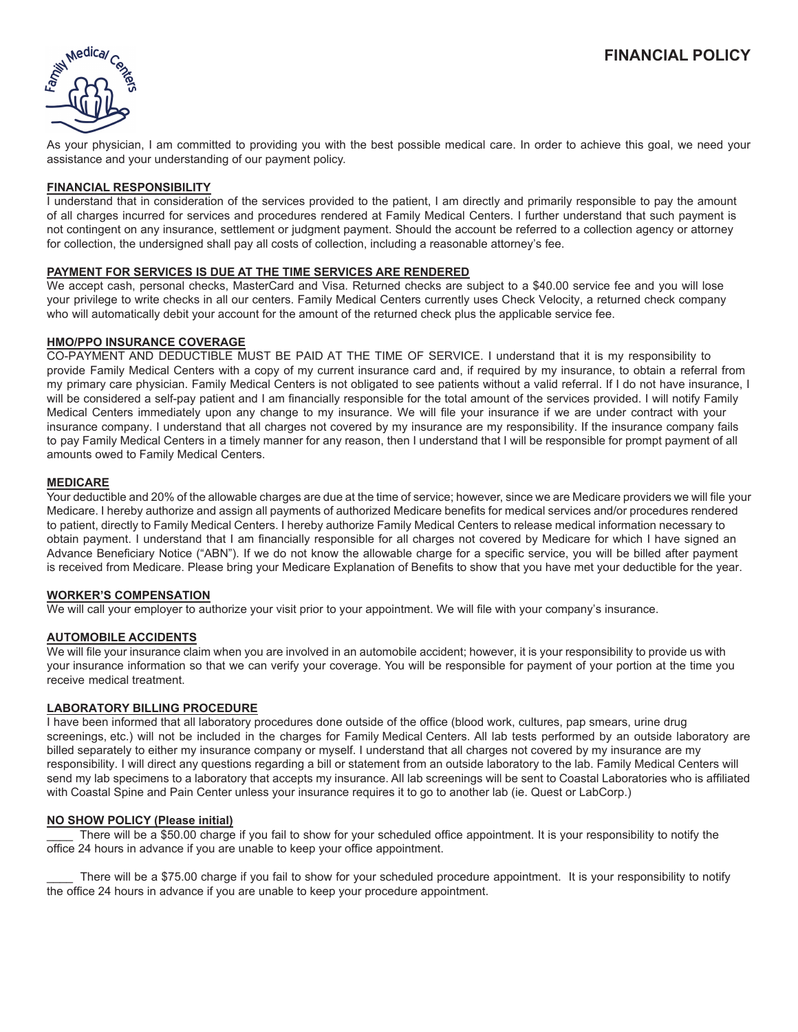

As your physician, I am committed to providing you with the best possible medical care. In order to achieve this goal, we need your assistance and your understanding of our payment policy.

# **FINANCIAL RESPONSIBILITY**

I understand that in consideration of the services provided to the patient, I am directly and primarily responsible to pay the amount of all charges incurred for services and procedures rendered at Family Medical Centers. I further understand that such payment is not contingent on any insurance, settlement or judgment payment. Should the account be referred to a collection agency or attorney for collection, the undersigned shall pay all costs of collection, including a reasonable attorney's fee.

## **PAYMENT FOR SERVICES IS DUE AT THE TIME SERVICES ARE RENDERED**

We accept cash, personal checks, MasterCard and Visa. Returned checks are subject to a \$40.00 service fee and you will lose your privilege to write checks in all our centers. Family Medical Centers currently uses Check Velocity, a returned check company who will automatically debit your account for the amount of the returned check plus the applicable service fee.

### **HMO/PPO INSURANCE COVERAGE**

CO-PAYMENT AND DEDUCTIBLE MUST BE PAID AT THE TIME OF SERVICE. I understand that it is my responsibility to provide Family Medical Centers with a copy of my current insurance card and, if required by my insurance, to obtain a referral from my primary care physician. Family Medical Centers is not obligated to see patients without a valid referral. If I do not have insurance, I will be considered a self-pay patient and I am financially responsible for the total amount of the services provided. I will notify Family Medical Centers immediately upon any change to my insurance. We will file your insurance if we are under contract with your insurance company. I understand that all charges not covered by my insurance are my responsibility. If the insurance company fails to pay Family Medical Centers in a timely manner for any reason, then I understand that I will be responsible for prompt payment of all amounts owed to Family Medical Centers.

## **MEDICARE**

Your deductible and 20% of the allowable charges are due at the time of service; however, since we are Medicare providers we will file your Medicare. I hereby authorize and assign all payments of authorized Medicare benefits for medical services and/or procedures rendered to patient, directly to Family Medical Centers. I hereby authorize Family Medical Centers to release medical information necessary to obtain payment. I understand that I am financially responsible for all charges not covered by Medicare for which I have signed an Advance Beneficiary Notice ("ABN"). If we do not know the allowable charge for a specific service, you will be billed after payment is received from Medicare. Please bring your Medicare Explanation of Benefits to show that you have met your deductible for the year.

### **WORKER'S COMPENSATION**

We will call your employer to authorize your visit prior to your appointment. We will file with your company's insurance.

## **AUTOMOBILE ACCIDENTS**

We will file your insurance claim when you are involved in an automobile accident; however, it is your responsibility to provide us with your insurance information so that we can verify your coverage. You will be responsible for payment of your portion at the time you receive medical treatment.

### **LABORATORY BILLING PROCEDURE**

I have been informed that all laboratory procedures done outside of the office (blood work, cultures, pap smears, urine drug screenings, etc.) will not be included in the charges for Family Medical Centers. All lab tests performed by an outside laboratory are billed separately to either my insurance company or myself. I understand that all charges not covered by my insurance are my responsibility. I will direct any questions regarding a bill or statement from an outside laboratory to the lab. Family Medical Centers will send my lab specimens to a laboratory that accepts my insurance. All lab screenings will be sent to Coastal Laboratories who is affiliated with Coastal Spine and Pain Center unless your insurance requires it to go to another lab (ie. Quest or LabCorp.)

### **NO SHOW POLICY (Please initial)**

There will be a \$50.00 charge if you fail to show for your scheduled office appointment. It is your responsibility to notify the office 24 hours in advance if you are unable to keep your office appointment.

There will be a \$75.00 charge if you fail to show for your scheduled procedure appointment. It is your responsibility to notify the office 24 hours in advance if you are unable to keep your procedure appointment.